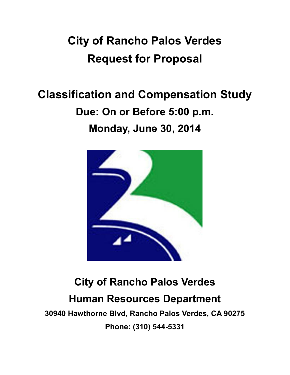# **City of Rancho Palos Verdes Request for Proposal**

# **Classification and Compensation Study Due: On or Before 5:00 p.m. Monday, June 30, 2014**



# **City of Rancho Palos Verdes Human Resources Department**

**30940 Hawthorne Blvd, Rancho Palos Verdes, CA 90275 Phone: (310) 544-5331**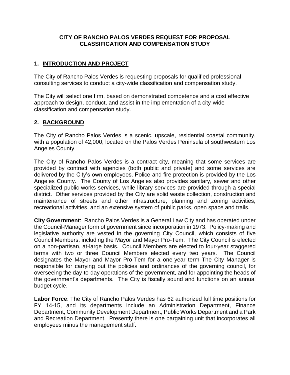#### **CITY OF RANCHO PALOS VERDES REQUEST FOR PROPOSAL CLASSIFICATION AND COMPENSATION STUDY**

## **1. INTRODUCTION AND PROJECT**

The City of Rancho Palos Verdes is requesting proposals for qualified professional consulting services to conduct a city-wide classification and compensation study.

The City will select one firm, based on demonstrated competence and a cost effective approach to design, conduct, and assist in the implementation of a city-wide classification and compensation study.

## **2. BACKGROUND**

The City of Rancho Palos Verdes is a scenic, upscale, residential coastal community, with a population of 42,000, located on the Palos Verdes Peninsula of southwestern Los Angeles County.

The City of Rancho Palos Verdes is a contract city, meaning that some services are provided by contract with agencies (both public and private) and some services are delivered by the City's own employees. Police and fire protection is provided by the Los Angeles County. The County of Los Angeles also provides sanitary, sewer and other specialized public works services, while library services are provided through a special district. Other services provided by the City are solid waste collection, construction and maintenance of streets and other infrastructure, planning and zoning activities, recreational activities, and an extensive system of public parks, open space and trails.

**City Government**: Rancho Palos Verdes is a General Law City and has operated under the Council-Manager form of government since incorporation in 1973. Policy-making and legislative authority are vested in the governing City Council, which consists of five Council Members, including the Mayor and Mayor Pro-Tem. The City Council is elected on a non-partisan, at-large basis. Council Members are elected to four-year staggered terms with two or three Council Members elected every two years. The Council designates the Mayor and Mayor Pro-Tem for a one-year term The City Manager is responsible for carrying out the policies and ordinances of the governing council, for overseeing the day-to-day operations of the government, and for appointing the heads of the government's departments. The City is fiscally sound and functions on an annual budget cycle.

**Labor Force**: The City of Rancho Palos Verdes has 62 authorized full time positions for FY 14-15, and its departments include an Administration Department, Finance Department, Community Development Department, Public Works Department and a Park and Recreation Department. Presently there is one bargaining unit that incorporates all employees minus the management staff.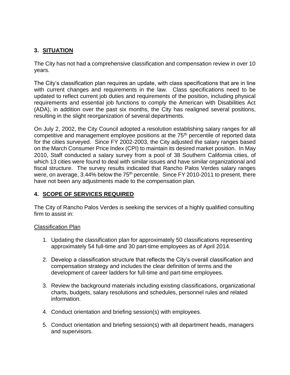## **3. SITUATION**

The City has not had a comprehensive classification and compensation review in over 10 years.

The City's classification plan requires an update, with class specifications that are in line with current changes and requirements in the law. Class specifications need to be updated to reflect current job duties and requirements of the position, including physical requirements and essential job functions to comply the American with Disabilities Act (ADA), in addition over the past six months, the City has realigned several positions, resulting in the slight reorganization of several departments.

On July 2, 2002, the City Council adopted a resolution establishing salary ranges for all competitive and management employee positions at the  $75<sup>th</sup>$  percentile of reported data for the cities surveyed. Since FY 2002-2003, the City adjusted the salary ranges based on the March Consumer Price Index (CPI) to maintain its desired market position. In May 2010, Staff conducted a salary survey from a pool of 38 Southern California cities, of which 13 cities were found to deal with similar issues and have similar organizational and fiscal structure. The survey results indicated that Rancho Palos Verdes salary ranges were, on average, 3.44% below the 75<sup>th</sup> percentile. Since FY 2010-2011 to present, there have not been any adjustments made to the compensation plan.

### **4. SCOPE OF SERVICES REQUIRED**

The City of Rancho Palos Verdes is seeking the services of a highly qualified consulting firm to assist in:

#### Classification Plan

- 1. Updating the classification plan for approximately 50 classifications representing approximately 54 full-time and 30 part-time employees as of April 2014.
- 2. Develop a classification structure that reflects the City's overall classification and compensation strategy and includes the clear definition of terms and the development of career ladders for full-time and part-time employees.
- 3. Review the background materials including existing classifications, organizational charts, budgets, salary resolutions and schedules, personnel rules and related information.
- 4. Conduct orientation and briefing session(s) with employees.
- 5. Conduct orientation and briefing session(s) with all department heads, managers and supervisors.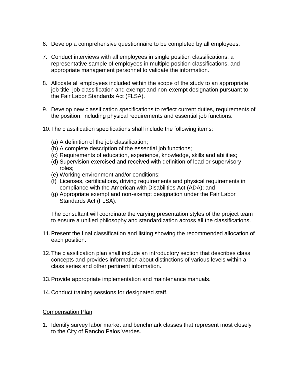- 6. Develop a comprehensive questionnaire to be completed by all employees.
- 7. Conduct interviews with all employees in single position classifications, a representative sample of employees in multiple position classifications, and appropriate management personnel to validate the information.
- 8. Allocate all employees included within the scope of the study to an appropriate job title, job classification and exempt and non-exempt designation pursuant to the Fair Labor Standards Act (FLSA).
- 9. Develop new classification specifications to reflect current duties, requirements of the position, including physical requirements and essential job functions.
- 10.The classification specifications shall include the following items:
	- (a) A definition of the job classification;
	- (b) A complete description of the essential job functions;
	- (c) Requirements of education, experience, knowledge, skills and abilities;
	- (d) Supervision exercised and received with definition of lead or supervisory roles;
	- (e) Working environment and/or conditions;
	- (f) Licenses, certifications, driving requirements and physical requirements in compliance with the American with Disabilities Act (ADA); and
	- (g) Appropriate exempt and non-exempt designation under the Fair Labor Standards Act (FLSA).

The consultant will coordinate the varying presentation styles of the project team to ensure a unified philosophy and standardization across all the classifications.

- 11.Present the final classification and listing showing the recommended allocation of each position.
- 12.The classification plan shall include an introductory section that describes class concepts and provides information about distinctions of various levels within a class series and other pertinent information.
- 13.Provide appropriate implementation and maintenance manuals.
- 14.Conduct training sessions for designated staff.

#### Compensation Plan

1. Identify survey labor market and benchmark classes that represent most closely to the City of Rancho Palos Verdes.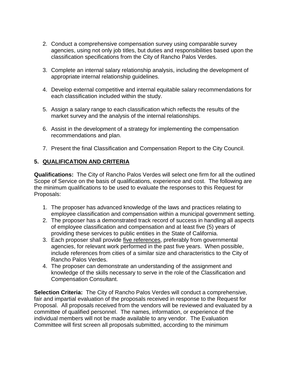- 2. Conduct a comprehensive compensation survey using comparable survey agencies, using not only job titles, but duties and responsibilities based upon the classification specifications from the City of Rancho Palos Verdes.
- 3. Complete an internal salary relationship analysis, including the development of appropriate internal relationship guidelines.
- 4. Develop external competitive and internal equitable salary recommendations for each classification included within the study.
- 5. Assign a salary range to each classification which reflects the results of the market survey and the analysis of the internal relationships.
- 6. Assist in the development of a strategy for implementing the compensation recommendations and plan.
- 7. Present the final Classification and Compensation Report to the City Council.

## **5. QUALIFICATION AND CRITERIA**

**Qualifications:** The City of Rancho Palos Verdes will select one firm for all the outlined Scope of Service on the basis of qualifications, experience and cost. The following are the minimum qualifications to be used to evaluate the responses to this Request for Proposals:

- 1. The proposer has advanced knowledge of the laws and practices relating to employee classification and compensation within a municipal government setting.
- 2. The proposer has a demonstrated track record of success in handling all aspects of employee classification and compensation and at least five (5) years of providing these services to public entities in the State of California.
- 3. Each proposer shall provide five references, preferably from governmental agencies, for relevant work performed in the past five years. When possible, include references from cities of a similar size and characteristics to the City of Rancho Palos Verdes.
- 4. The proposer can demonstrate an understanding of the assignment and knowledge of the skills necessary to serve in the role of the Classification and Compensation Consultant.

**Selection Criteria:** The City of Rancho Palos Verdes will conduct a comprehensive, fair and impartial evaluation of the proposals received in response to the Request for Proposal. All proposals received from the vendors will be reviewed and evaluated by a committee of qualified personnel. The names, information, or experience of the individual members will not be made available to any vendor. The Evaluation Committee will first screen all proposals submitted, according to the minimum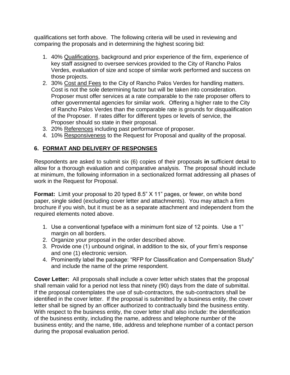qualifications set forth above. The following criteria will be used in reviewing and comparing the proposals and in determining the highest scoring bid:

- 1. 40% Qualifications, background and prior experience of the firm, experience of key staff assigned to oversee services provided to the City of Rancho Palos Verdes, evaluation of size and scope of similar work performed and success on those projects.
- 2. 30% Cost and Fees to the City of Rancho Palos Verdes for handling matters. Cost is not the sole determining factor but will be taken into consideration. Proposer must offer services at a rate comparable to the rate proposer offers to other governmental agencies for similar work. Offering a higher rate to the City of Rancho Palos Verdes than the comparable rate is grounds for disqualification of the Proposer. If rates differ for different types or levels of service, the Proposer should so state in their proposal.
- 3. 20% References including past performance of proposer.
- 4. 10% Responsiveness to the Request for Proposal and quality of the proposal.

## **6. FORMAT AND DELIVERY OF RESPONSES**

Respondents are asked to submit six (6) copies of their proposals **in** sufficient detail to allow for a thorough evaluation and comparative analysis. The proposal should include at minimum, the following information in a sectionalized format addressing all phases of work in the Request for Proposal.

**Format:** Limit your proposal to 20 typed 8.5" X 11" pages, or fewer, on white bond paper, single sided (excluding cover letter and attachments). You may attach a firm brochure if you wish, but it must be as a separate attachment and independent from the required elements noted above.

- 1. Use a conventional typeface with a minimum font size of 12 points. Use a 1" margin on all borders.
- 2. Organize your proposal in the order described above.
- 3. Provide one (1) unbound original, in addition to the six, of your firm's response and one (1) electronic version.
- 4. Prominently label the package: "RFP for Classification and Compensation Study" and include the name of the prime respondent.

**Cover Letter:** All proposals shall include a cover letter which states that the proposal shall remain valid for a period not less that ninety (90) days from the date of submittal. If the proposal contemplates the use of sub-contractors, the sub-contractors shall be identified in the cover letter. If the proposal is submitted by a business entity, the cover letter shall be signed by an officer authorized to contractually bind the business entity. With respect to the business entity, the cover letter shall also include: the identification of the business entity, including the name, address and telephone number of the business entity; and the name, title, address and telephone number of a contact person during the proposal evaluation period.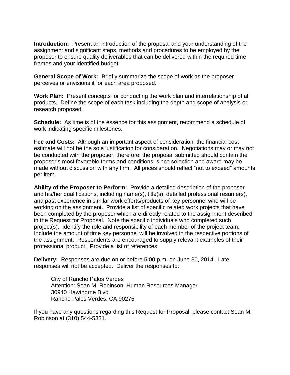**Introduction:** Present an introduction of the proposal and your understanding of the assignment and significant steps, methods and procedures to be employed by the proposer to ensure quality deliverables that can be delivered within the required time frames and your identified budget.

**General Scope of Work:** Briefly summarize the scope of work as the proposer perceives or envisions it for each area proposed.

**Work Plan:** Present concepts for conducting the work plan and interrelationship of all products. Define the scope of each task including the depth and scope of analysis or research proposed.

**Schedule:** As time is of the essence for this assignment, recommend a schedule of work indicating specific milestones.

**Fee and Costs:** Although an important aspect of consideration, the financial cost estimate will not be the sole justification for consideration. Negotiations may or may not be conducted with the proposer; therefore, the proposal submitted should contain the proposer's most favorable terms and conditions, since selection and award may be made without discussion with any firm. All prices should reflect "not to exceed" amounts per item.

**Ability of the Proposer to Perform:** Provide a detailed description of the proposer and his/her qualifications, including name(s), title(s), detailed professional resume(s), and past experience in similar work efforts/products of key personnel who will be working on the assignment. Provide a list of specific related work projects that have been completed by the proposer which are directly related to the assignment described in the Request for Proposal. Note the specific individuals who completed such project(s). Identify the role and responsibility of each member of the project team. Include the amount of time key personnel will be involved in the respective portions of the assignment. Respondents are encouraged to supply relevant examples of their professional product. Provide a list of references.

**Delivery:** Responses are due on or before 5:00 p.m. on June 30, 2014. Late responses will not be accepted. Deliver the responses to:

City of Rancho Palos Verdes Attention: Sean M. Robinson, Human Resources Manager 30940 Hawthorne Blvd Rancho Palos Verdes, CA 90275

If you have any questions regarding this Request for Proposal, please contact Sean M. Robinson at (310) 544-5331.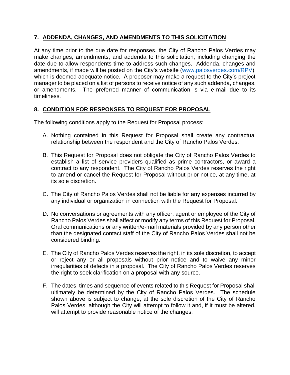## **7. ADDENDA, CHANGES, AND AMENDMENTS TO THIS SOLICITATION**

At any time prior to the due date for responses, the City of Rancho Palos Verdes may make changes, amendments, and addenda to this solicitation, including changing the date due to allow respondents time to address such changes. Addenda, changes and amendments, if made will be posted on the City's website [\(www.palosverdes.com/RPV\)](http://www.palosverdes.com/RPV), which is deemed adequate notice. A proposer may make a request to the City's project manager to be placed on a list of persons to receive notice of any such addenda, changes, or amendments. The preferred manner of communication is via e-mail due to its timeliness.

## **8. CONDITION FOR RESPONSES TO REQUEST FOR PROPOSAL**

The following conditions apply to the Request for Proposal process:

- A. Nothing contained in this Request for Proposal shall create any contractual relationship between the respondent and the City of Rancho Palos Verdes.
- B. This Request for Proposal does not obligate the City of Rancho Palos Verdes to establish a list of service providers qualified as prime contractors, or award a contract to any respondent. The City of Rancho Palos Verdes reserves the right to amend or cancel the Request for Proposal without prior notice, at any time, at its sole discretion.
- C. The City of Rancho Palos Verdes shall not be liable for any expenses incurred by any individual or organization in connection with the Request for Proposal.
- D. No conversations or agreements with any officer, agent or employee of the City of Rancho Palos Verdes shall affect or modify any terms of this Request for Proposal. Oral communications or any written/e-mail materials provided by any person other than the designated contact staff of the City of Rancho Palos Verdes shall not be considered binding.
- E. The City of Rancho Palos Verdes reserves the right, in its sole discretion, to accept or reject any or all proposals without prior notice and to waive any minor irregularities of defects in a proposal. The City of Rancho Palos Verdes reserves the right to seek clarification on a proposal with any source.
- F. The dates, times and sequence of events related to this Request for Proposal shall ultimately be determined by the City of Rancho Palos Verdes. The schedule shown above is subject to change, at the sole discretion of the City of Rancho Palos Verdes, although the City will attempt to follow it and, if it must be altered, will attempt to provide reasonable notice of the changes.